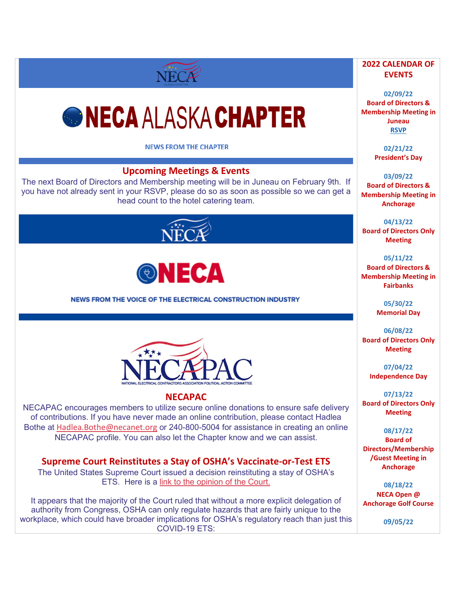# *GNECA ALASKA CHAPTER*

NECA

**NEWS FROM THE CHAPTER** 

# **Upcoming Meetings & Events**

The next Board of Directors and Membership meeting will be in Juneau on February 9th. If you have not already sent in your RSVP, please do so as soon as possible so we can get a head count to the hotel catering team.





NEWS FROM THE VOICE OF THE ELECTRICAL CONSTRUCTION INDUSTRY



#### **NECAPAC**

NECAPAC encourages members to utilize secure online donations to ensure safe delivery of contributions. If you have never made an online contribution, please contact Hadlea Bothe at [Hadlea.Bothe@necanet.org](mailto:Hadlea.Bothe@necanet.org) or 240-800-5004 for assistance in creating an online NECAPAC profile. You can also let the Chapter know and we can assist.

**Supreme Court Reinstitutes a Stay of OSHA's Vaccinate-or-Test ETS**

The United States Supreme Court issued a decision reinstituting a stay of OSHA's ETS. Here is a [link to the opinion of the Court.](https://www.supremecourt.gov/opinions/21pdf/21a244_hgci.pdf)

It appears that the majority of the Court ruled that without a more explicit delegation of authority from Congress, OSHA can only regulate hazards that are fairly unique to the workplace, which could have broader implications for OSHA's regulatory reach than just this COVID-19 ETS:

#### **2022 CALENDAR OF EVENTS**

**02/09/22 Board of Directors & Membership Meeting in Juneau [RSVP](mailto:michelle@alaskaneca.org?subject=Meeting%20RSVP)**

> **02/21/22 President's Day**

**03/09/22 Board of Directors & Membership Meeting in Anchorage**

**04/13/22 Board of Directors Only Meeting**

**05/11/22**

**Board of Directors & Membership Meeting in Fairbanks**

> **05/30/22 Memorial Day**

**06/08/22 Board of Directors Only Meeting** 

> **07/04/22 Independence Day**

**07/13/22 Board of Directors Only Meeting**

**08/17/22 Board of Directors/Membership /Guest Meeting in Anchorage**

**08/18/22 NECA Open @ Anchorage Golf Course**

**09/05/22**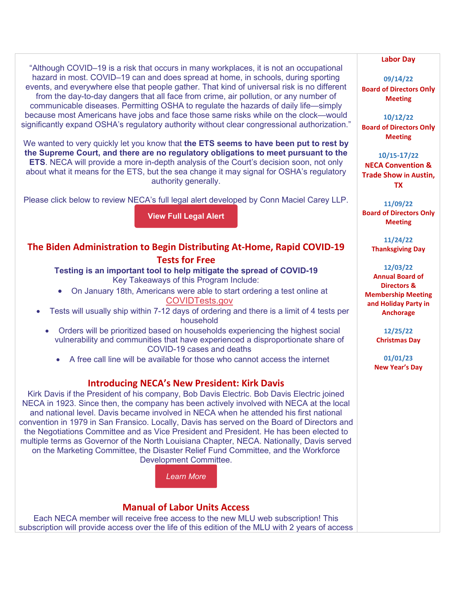"Although COVID–19 is a risk that occurs in many workplaces, it is not an occupational hazard in most. COVID–19 can and does spread at home, in schools, during sporting events, and everywhere else that people gather. That kind of universal risk is no different from the day-to-day dangers that all face from crime, air pollution, or any number of communicable diseases. Permitting OSHA to regulate the hazards of daily life—simply because most Americans have jobs and face those same risks while on the clock—would significantly expand OSHA's regulatory authority without clear congressional authorization."

We wanted to very quickly let you know that **the ETS seems to have been put to rest by the Supreme Court, and there are no regulatory obligations to meet pursuant to the ETS**. NECA will provide a more in-depth analysis of the Court's decision soon, not only about what it means for the ETS, but the sea change it may signal for OSHA's regulatory authority generally.

Please click below to review NECA's full legal alert developed by Conn Maciel Carey LLP.

**View Full [Legal](https://d15k2d11r6t6rl.cloudfront.net/public/users/Integrators/BeeProAgency/733059_716145/Coronavirus_Legal-ETSDecision_1-13-22.pdf) Alert**

#### **The Biden Administration to Begin Distributing At-Home, Rapid COVID-19 Tests for Free**

**Testing is an important tool to help mitigate the spread of COVID-19** Key Takeaways of this Program Include:

- On January 18th, Americans were able to start ordering a test online at [COVIDTests.gov](https://www.covidtests.gov/)
- Tests will usually ship within 7-12 days of ordering and there is a limit of 4 tests per household
	- Orders will be prioritized based on households experiencing the highest social vulnerability and communities that have experienced a disproportionate share of COVID-19 cases and deaths
		- A free call line will be available for those who cannot access the internet

## **Introducing NECA's New President: Kirk Davis**

Kirk Davis if the President of his company, Bob Davis Electric. Bob Davis Electric joined NECA in 1923. Since then, the company has been actively involved with NECA at the local and national level. Davis became involved in NECA when he attended his first national convention in 1979 in San Fransico. Locally, Davis has served on the Board of Directors and the Negotiations Committee and as Vice President and President. He has been elected to multiple terms as Governor of the North Louisiana Chapter, NECA. Nationally, Davis served on the Marketing Committee, the Disaster Relief Fund Committee, and the Workforce Development Committee.

*[Learn](https://www.necanet.org/staff-details/kirk-davis) More*

## **Manual of Labor Units Access**

Each NECA member will receive free access to the new MLU web subscription! This subscription will provide access over the life of this edition of the MLU with 2 years of access

#### **Labor Day**

**09/14/22 Board of Directors Only Meeting**

**10/12/22 Board of Directors Only Meeting**

**10/15-17/22 NECA Convention & Trade Show in Austin, TX**

**11/09/22 Board of Directors Only Meeting**

> **11/24/22 Thanksgiving Day**

**12/03/22 Annual Board of Directors &**

**Membership Meeting and Holiday Party in Anchorage**

> **12/25/22 Christmas Day**

**01/01/23 New Year's Day**